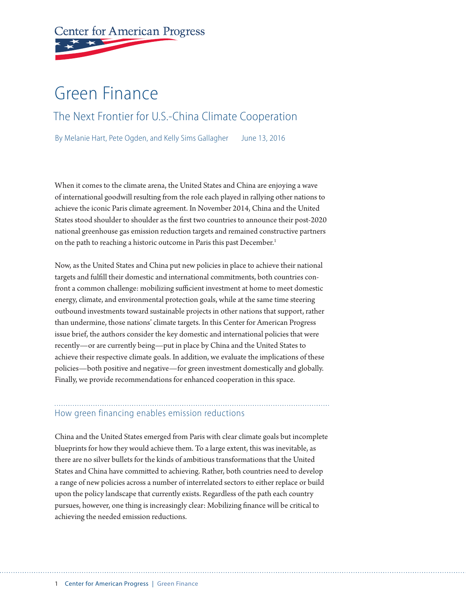# **Center for American Progress**

# Green Finance The Next Frontier for U.S.-China Climate Cooperation

By Melanie Hart, Pete Ogden, and Kelly Sims Gallagher June 13, 2016

When it comes to the climate arena, the United States and China are enjoying a wave of international goodwill resulting from the role each played in rallying other nations to achieve the iconic Paris climate agreement. In November 2014, China and the United States stood shoulder to shoulder as the first two countries to announce their post-2020 national greenhouse gas emission reduction targets and remained constructive partners on the path to reaching a historic outcome in Paris this past December.<sup>1</sup>

Now, as the United States and China put new policies in place to achieve their national targets and fulfill their domestic and international commitments, both countries confront a common challenge: mobilizing sufficient investment at home to meet domestic energy, climate, and environmental protection goals, while at the same time steering outbound investments toward sustainable projects in other nations that support, rather than undermine, those nations' climate targets. In this Center for American Progress issue brief, the authors consider the key domestic and international policies that were recently—or are currently being—put in place by China and the United States to achieve their respective climate goals. In addition, we evaluate the implications of these policies—both positive and negative—for green investment domestically and globally. Finally, we provide recommendations for enhanced cooperation in this space.

## How green financing enables emission reductions

China and the United States emerged from Paris with clear climate goals but incomplete blueprints for how they would achieve them. To a large extent, this was inevitable, as there are no silver bullets for the kinds of ambitious transformations that the United States and China have committed to achieving. Rather, both countries need to develop a range of new policies across a number of interrelated sectors to either replace or build upon the policy landscape that currently exists. Regardless of the path each country pursues, however, one thing is increasingly clear: Mobilizing finance will be critical to achieving the needed emission reductions.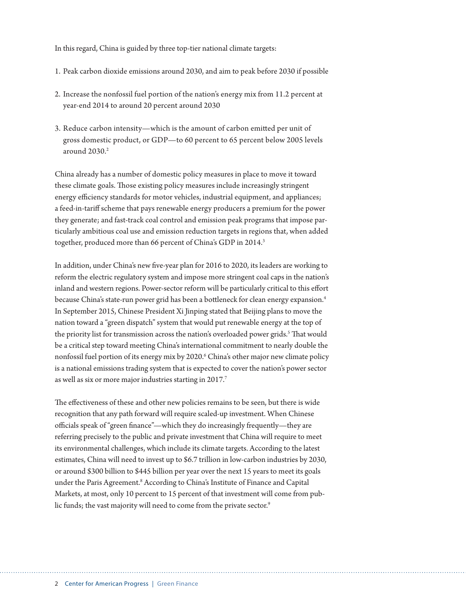In this regard, China is guided by three top-tier national climate targets:

- 1. Peak carbon dioxide emissions around 2030, and aim to peak before 2030 if possible
- 2. Increase the nonfossil fuel portion of the nation's energy mix from 11.2 percent at year-end 2014 to around 20 percent around 2030
- 3. Reduce carbon intensity—which is the amount of carbon emitted per unit of gross domestic product, or GDP—to 60 percent to 65 percent below 2005 levels around  $2030.<sup>2</sup>$

China already has a number of domestic policy measures in place to move it toward these climate goals. Those existing policy measures include increasingly stringent energy efficiency standards for motor vehicles, industrial equipment, and appliances; a feed-in-tariff scheme that pays renewable energy producers a premium for the power they generate; and fast-track coal control and emission peak programs that impose particularly ambitious coal use and emission reduction targets in regions that, when added together, produced more than 66 percent of China's GDP in 2014.<sup>3</sup>

In addition, under China's new five-year plan for 2016 to 2020, its leaders are working to reform the electric regulatory system and impose more stringent coal caps in the nation's inland and western regions. Power-sector reform will be particularly critical to this effort because China's state-run power grid has been a bottleneck for clean energy expansion.4 In September 2015, Chinese President Xi Jinping stated that Beijing plans to move the nation toward a "green dispatch" system that would put renewable energy at the top of the priority list for transmission across the nation's overloaded power grids.<sup>5</sup> That would be a critical step toward meeting China's international commitment to nearly double the nonfossil fuel portion of its energy mix by 2020.<sup>6</sup> China's other major new climate policy is a national emissions trading system that is expected to cover the nation's power sector as well as six or more major industries starting in 2017.<sup>7</sup>

The effectiveness of these and other new policies remains to be seen, but there is wide recognition that any path forward will require scaled-up investment. When Chinese officials speak of "green finance"—which they do increasingly frequently—they are referring precisely to the public and private investment that China will require to meet its environmental challenges, which include its climate targets. According to the latest estimates, China will need to invest up to \$6.7 trillion in low-carbon industries by 2030, or around \$300 billion to \$445 billion per year over the next 15 years to meet its goals under the Paris Agreement.<sup>8</sup> According to China's Institute of Finance and Capital Markets, at most, only 10 percent to 15 percent of that investment will come from public funds; the vast majority will need to come from the private sector.<sup>9</sup>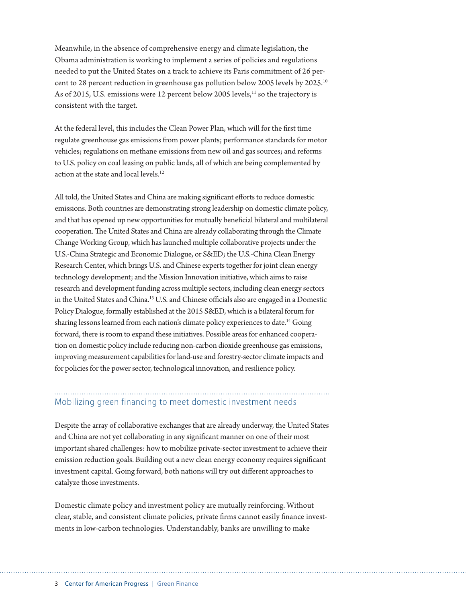Meanwhile, in the absence of comprehensive energy and climate legislation, the Obama administration is working to implement a series of policies and regulations needed to put the United States on a track to achieve its Paris commitment of 26 percent to 28 percent reduction in greenhouse gas pollution below 2005 levels by 2025.10 As of 2015, U.S. emissions were 12 percent below 2005 levels, $^{11}$  so the trajectory is consistent with the target.

At the federal level, this includes the Clean Power Plan, which will for the first time regulate greenhouse gas emissions from power plants; performance standards for motor vehicles; regulations on methane emissions from new oil and gas sources; and reforms to U.S. policy on coal leasing on public lands, all of which are being complemented by action at the state and local levels.<sup>12</sup>

All told, the United States and China are making significant efforts to reduce domestic emissions. Both countries are demonstrating strong leadership on domestic climate policy, and that has opened up new opportunities for mutually beneficial bilateral and multilateral cooperation. The United States and China are already collaborating through the Climate Change Working Group, which has launched multiple collaborative projects under the U.S.-China Strategic and Economic Dialogue, or S&ED; the U.S.-China Clean Energy Research Center, which brings U.S. and Chinese experts together for joint clean energy technology development; and the Mission Innovation initiative, which aims to raise research and development funding across multiple sectors, including clean energy sectors in the United States and China.13 U.S. and Chinese officials also are engaged in a Domestic Policy Dialogue, formally established at the 2015 S&ED, which is a bilateral forum for sharing lessons learned from each nation's climate policy experiences to date.<sup>14</sup> Going forward, there is room to expand these initiatives. Possible areas for enhanced cooperation on domestic policy include reducing non-carbon dioxide greenhouse gas emissions, improving measurement capabilities for land-use and forestry-sector climate impacts and for policies for the power sector, technological innovation, and resilience policy.

# Mobilizing green financing to meet domestic investment needs

Despite the array of collaborative exchanges that are already underway, the United States and China are not yet collaborating in any significant manner on one of their most important shared challenges: how to mobilize private-sector investment to achieve their emission reduction goals. Building out a new clean energy economy requires significant investment capital. Going forward, both nations will try out different approaches to catalyze those investments.

Domestic climate policy and investment policy are mutually reinforcing. Without clear, stable, and consistent climate policies, private firms cannot easily finance investments in low-carbon technologies. Understandably, banks are unwilling to make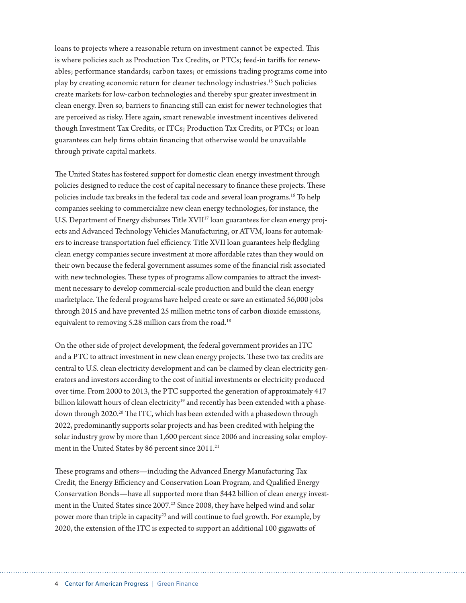loans to projects where a reasonable return on investment cannot be expected. This is where policies such as Production Tax Credits, or PTCs; feed-in tariffs for renewables; performance standards; carbon taxes; or emissions trading programs come into play by creating economic return for cleaner technology industries.15 Such policies create markets for low-carbon technologies and thereby spur greater investment in clean energy. Even so, barriers to financing still can exist for newer technologies that are perceived as risky. Here again, smart renewable investment incentives delivered though Investment Tax Credits, or ITCs; Production Tax Credits, or PTCs; or loan guarantees can help firms obtain financing that otherwise would be unavailable through private capital markets.

The United States has fostered support for domestic clean energy investment through policies designed to reduce the cost of capital necessary to finance these projects. These policies include tax breaks in the federal tax code and several loan programs.16 To help companies seeking to commercialize new clean energy technologies, for instance, the U.S. Department of Energy disburses Title XVII<sup>17</sup> loan guarantees for clean energy projects and Advanced Technology Vehicles Manufacturing, or ATVM, loans for automakers to increase transportation fuel efficiency. Title XVII loan guarantees help fledgling clean energy companies secure investment at more affordable rates than they would on their own because the federal government assumes some of the financial risk associated with new technologies. These types of programs allow companies to attract the investment necessary to develop commercial-scale production and build the clean energy marketplace. The federal programs have helped create or save an estimated 56,000 jobs through 2015 and have prevented 25 million metric tons of carbon dioxide emissions, equivalent to removing 5.28 million cars from the road.<sup>18</sup>

On the other side of project development, the federal government provides an ITC and a PTC to attract investment in new clean energy projects. These two tax credits are central to U.S. clean electricity development and can be claimed by clean electricity generators and investors according to the cost of initial investments or electricity produced over time. From 2000 to 2013, the PTC supported the generation of approximately 417 billion kilowatt hours of clean electricity<sup>19</sup> and recently has been extended with a phasedown through 2020.<sup>20</sup> The ITC, which has been extended with a phasedown through 2022, predominantly supports solar projects and has been credited with helping the solar industry grow by more than 1,600 percent since 2006 and increasing solar employment in the United States by 86 percent since 2011.<sup>21</sup>

These programs and others—including the Advanced Energy Manufacturing Tax Credit, the Energy Efficiency and Conservation Loan Program, and Qualified Energy Conservation Bonds—have all supported more than \$442 billion of clean energy investment in the United States since 2007.<sup>22</sup> Since 2008, they have helped wind and solar power more than triple in capacity<sup>23</sup> and will continue to fuel growth. For example, by 2020, the extension of the ITC is expected to support an additional 100 gigawatts of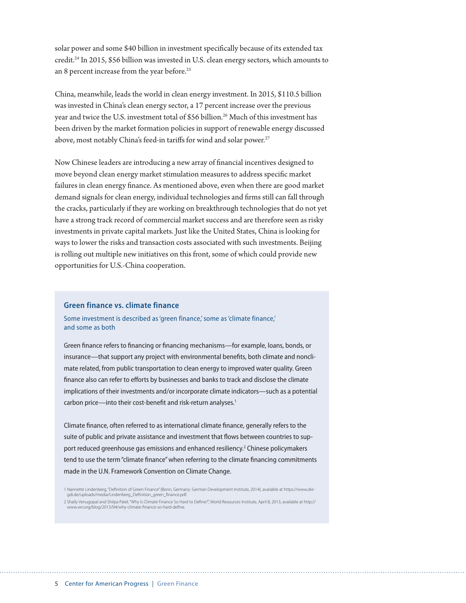solar power and some \$40 billion in investment specifically because of its extended tax credit.24 In 2015, \$56 billion was invested in U.S. clean energy sectors, which amounts to an 8 percent increase from the year before.<sup>25</sup>

China, meanwhile, leads the world in clean energy investment. In 2015, \$110.5 billion was invested in China's clean energy sector, a 17 percent increase over the previous year and twice the U.S. investment total of \$56 billion.<sup>26</sup> Much of this investment has been driven by the market formation policies in support of renewable energy discussed above, most notably China's feed-in tariffs for wind and solar power.<sup>27</sup>

Now Chinese leaders are introducing a new array of financial incentives designed to move beyond clean energy market stimulation measures to address specific market failures in clean energy finance. As mentioned above, even when there are good market demand signals for clean energy, individual technologies and firms still can fall through the cracks, particularly if they are working on breakthrough technologies that do not yet have a strong track record of commercial market success and are therefore seen as risky investments in private capital markets. Just like the United States, China is looking for ways to lower the risks and transaction costs associated with such investments. Beijing is rolling out multiple new initiatives on this front, some of which could provide new opportunities for U.S.-China cooperation.

#### **Green finance vs. climate finance**

Some investment is described as 'green finance,' some as 'climate finance,' and some as both

Green finance refers to financing or financing mechanisms—for example, loans, bonds, or insurance—that support any project with environmental benefits, both climate and nonclimate related, from public transportation to clean energy to improved water quality. Green finance also can refer to efforts by businesses and banks to track and disclose the climate implications of their investments and/or incorporate climate indicators—such as a potential carbon price—into their cost-benefit and risk-return analyses.<sup>1</sup>

Climate finance, often referred to as international climate finance, generally refers to the suite of public and private assistance and investment that flows between countries to support reduced greenhouse gas emissions and enhanced resiliency.<sup>2</sup> Chinese policymakers tend to use the term "climate finance" when referring to the climate financing commitments made in the U.N. Framework Convention on Climate Change.

<sup>1</sup> Nannette Lindenberg, "Definition of Green Finance" (Bonn, Germany: German Development Institute, 2014), available at https://www.die-<br>gdi.de/uploads/media/Lindenberg\_Definition\_green\_finance.pdf.

<sup>2</sup> Shally Venugopal and Shilpa Patel, "Why Is Climate Finance So Hard to Define?", World Resources Institute, April 8, 2013, available at http:// www.wri.org/blog/2013/04/why-climate-finance-so-hard-define.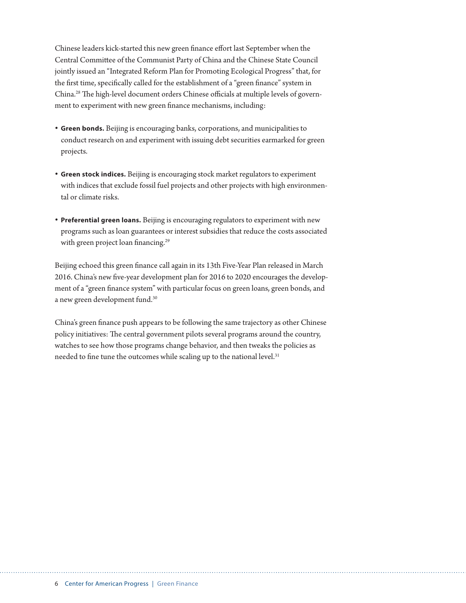Chinese leaders kick-started this new green finance effort last September when the Central Committee of the Communist Party of China and the Chinese State Council jointly issued an "Integrated Reform Plan for Promoting Ecological Progress" that, for the first time, specifically called for the establishment of a "green finance" system in China.28 The high-level document orders Chinese officials at multiple levels of government to experiment with new green finance mechanisms, including:

- **• Green bonds.** Beijing is encouraging banks, corporations, and municipalities to conduct research on and experiment with issuing debt securities earmarked for green projects.
- **• Green stock indices.** Beijing is encouraging stock market regulators to experiment with indices that exclude fossil fuel projects and other projects with high environmental or climate risks.
- **• Preferential green loans.** Beijing is encouraging regulators to experiment with new programs such as loan guarantees or interest subsidies that reduce the costs associated with green project loan financing.<sup>29</sup>

Beijing echoed this green finance call again in its 13th Five-Year Plan released in March 2016. China's new five-year development plan for 2016 to 2020 encourages the development of a "green finance system" with particular focus on green loans, green bonds, and a new green development fund.30

China's green finance push appears to be following the same trajectory as other Chinese policy initiatives: The central government pilots several programs around the country, watches to see how those programs change behavior, and then tweaks the policies as needed to fine tune the outcomes while scaling up to the national level.<sup>31</sup>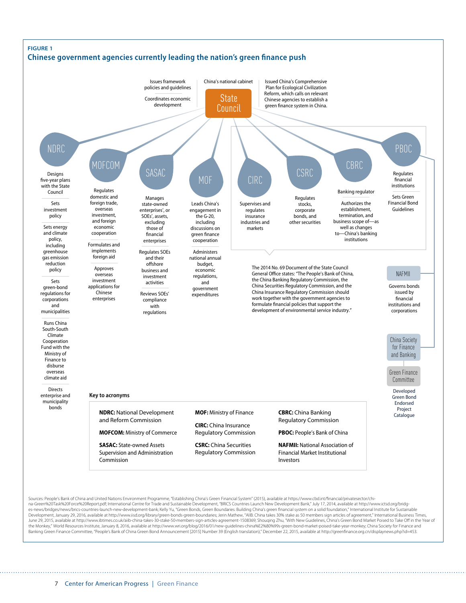

Sources: People's Bank of China and United Nations Environment Programme, "Establishing China's Green Financial System" (2015), available at https://www.cbd.int/nancial/privatesector/china-Green%20Task%20Force%20Report.pdf; International Centre for Trade and Sustainable Development, "BRICS Countries Launch New Development Bank," July 17, 2014, available at http://www.ictsd.org/bridges-news/bridges/news/brics-countries-launch-new-development-bank; Kelly Yu, "Green Bonds, Green Boundaries: Building China's green financial system on a solid foundation," International Institute for Sustainable Development, January 29, 2016, available at http://www.iisd.org/library/green-bonds-green-boundaries; Jerin Mathew, "AllB: China takes 30% stake as 50 members sign articles of agreement," International Business Times,<br>June the Monkey," World Resources Institute, January 8, 2016, available at http://www.wri.org/blog/2016/01/new-guidelines-china%E2%80%99s-green-bond-market-poised-take-year-monkey; China Society for Finance and Banking Green Finance Committee, "People's Bank of China Green Bond Announcement [2015] Number 39 (English translation)," December 22, 2015, available at http://greenfinance.org.cn/displaynews.php?id=453.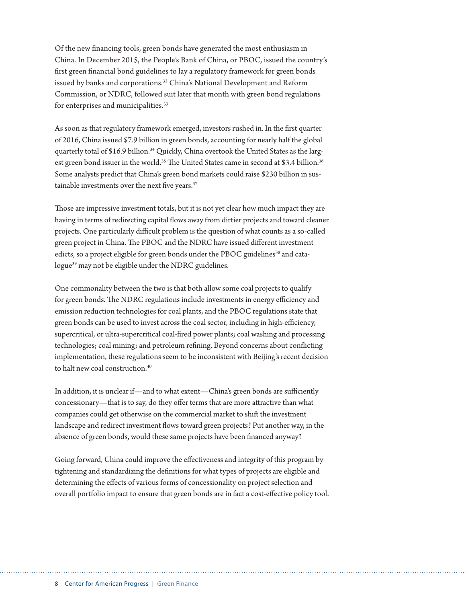Of the new financing tools, green bonds have generated the most enthusiasm in China. In December 2015, the People's Bank of China, or PBOC, issued the country's first green financial bond guidelines to lay a regulatory framework for green bonds issued by banks and corporations.<sup>32</sup> China's National Development and Reform Commission, or NDRC, followed suit later that month with green bond regulations for enterprises and municipalities.<sup>33</sup>

As soon as that regulatory framework emerged, investors rushed in. In the first quarter of 2016, China issued \$7.9 billion in green bonds, accounting for nearly half the global quarterly total of \$16.9 billion.<sup>34</sup> Quickly, China overtook the United States as the largest green bond issuer in the world.<sup>35</sup> The United States came in second at \$3.4 billion.<sup>36</sup> Some analysts predict that China's green bond markets could raise \$230 billion in sustainable investments over the next five years.<sup>37</sup>

Those are impressive investment totals, but it is not yet clear how much impact they are having in terms of redirecting capital flows away from dirtier projects and toward cleaner projects. One particularly difficult problem is the question of what counts as a so-called green project in China. The PBOC and the NDRC have issued different investment edicts, so a project eligible for green bonds under the PBOC guidelines<sup>38</sup> and catalogue<sup>39</sup> may not be eligible under the NDRC guidelines.

One commonality between the two is that both allow some coal projects to qualify for green bonds. The NDRC regulations include investments in energy efficiency and emission reduction technologies for coal plants, and the PBOC regulations state that green bonds can be used to invest across the coal sector, including in high-efficiency, supercritical, or ultra-supercritical coal-fired power plants; coal washing and processing technologies; coal mining; and petroleum refining. Beyond concerns about conflicting implementation, these regulations seem to be inconsistent with Beijing's recent decision to halt new coal construction.<sup>40</sup>

In addition, it is unclear if—and to what extent—China's green bonds are sufficiently concessionary—that is to say, do they offer terms that are more attractive than what companies could get otherwise on the commercial market to shift the investment landscape and redirect investment flows toward green projects? Put another way, in the absence of green bonds, would these same projects have been financed anyway?

Going forward, China could improve the effectiveness and integrity of this program by tightening and standardizing the definitions for what types of projects are eligible and determining the effects of various forms of concessionality on project selection and overall portfolio impact to ensure that green bonds are in fact a cost-effective policy tool.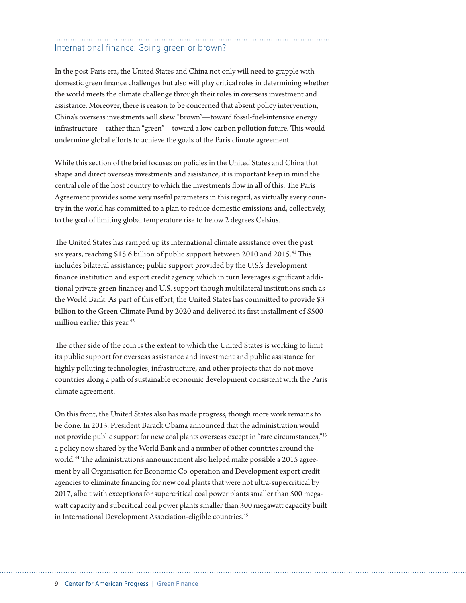# International finance: Going green or brown?

In the post-Paris era, the United States and China not only will need to grapple with domestic green finance challenges but also will play critical roles in determining whether the world meets the climate challenge through their roles in overseas investment and assistance. Moreover, there is reason to be concerned that absent policy intervention, China's overseas investments will skew "brown"—toward fossil-fuel-intensive energy infrastructure—rather than "green"—toward a low-carbon pollution future. This would undermine global efforts to achieve the goals of the Paris climate agreement.

While this section of the brief focuses on policies in the United States and China that shape and direct overseas investments and assistance, it is important keep in mind the central role of the host country to which the investments flow in all of this. The Paris Agreement provides some very useful parameters in this regard, as virtually every country in the world has committed to a plan to reduce domestic emissions and, collectively, to the goal of limiting global temperature rise to below 2 degrees Celsius.

The United States has ramped up its international climate assistance over the past six years, reaching \$15.6 billion of public support between 2010 and 2015.<sup>41</sup> This includes bilateral assistance; public support provided by the U.S.'s development finance institution and export credit agency, which in turn leverages significant additional private green finance; and U.S. support though multilateral institutions such as the World Bank. As part of this effort, the United States has committed to provide \$3 billion to the Green Climate Fund by 2020 and delivered its first installment of \$500 million earlier this year.<sup>42</sup>

The other side of the coin is the extent to which the United States is working to limit its public support for overseas assistance and investment and public assistance for highly polluting technologies, infrastructure, and other projects that do not move countries along a path of sustainable economic development consistent with the Paris climate agreement.

On this front, the United States also has made progress, though more work remains to be done. In 2013, President Barack Obama announced that the administration would not provide public support for new coal plants overseas except in "rare circumstances,"43 a policy now shared by the World Bank and a number of other countries around the world.44 The administration's announcement also helped make possible a 2015 agreement by all Organisation for Economic Co-operation and Development export credit agencies to eliminate financing for new coal plants that were not ultra-supercritical by 2017, albeit with exceptions for supercritical coal power plants smaller than 500 megawatt capacity and subcritical coal power plants smaller than 300 megawatt capacity built in International Development Association-eligible countries.<sup>45</sup>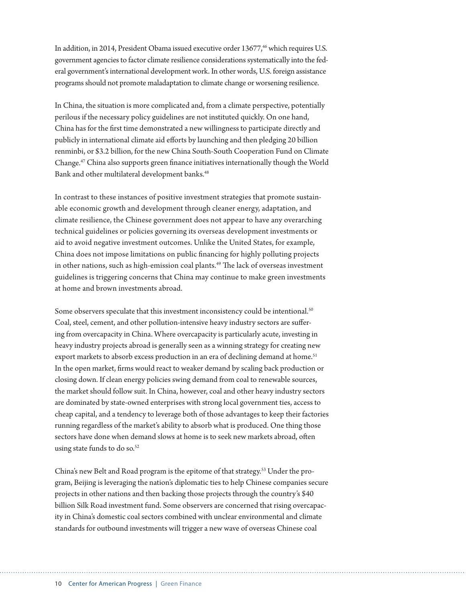In addition, in 2014, President Obama issued executive order 13677,<sup>46</sup> which requires U.S. government agencies to factor climate resilience considerations systematically into the federal government's international development work. In other words, U.S. foreign assistance programs should not promote maladaptation to climate change or worsening resilience.

In China, the situation is more complicated and, from a climate perspective, potentially perilous if the necessary policy guidelines are not instituted quickly. On one hand, China has for the first time demonstrated a new willingness to participate directly and publicly in international climate aid efforts by launching and then pledging 20 billion renminbi, or \$3.2 billion, for the new China South-South Cooperation Fund on Climate Change.47 China also supports green finance initiatives internationally though the World Bank and other multilateral development banks.<sup>48</sup>

In contrast to these instances of positive investment strategies that promote sustainable economic growth and development through cleaner energy, adaptation, and climate resilience, the Chinese government does not appear to have any overarching technical guidelines or policies governing its overseas development investments or aid to avoid negative investment outcomes. Unlike the United States, for example, China does not impose limitations on public financing for highly polluting projects in other nations, such as high-emission coal plants.<sup>49</sup> The lack of overseas investment guidelines is triggering concerns that China may continue to make green investments at home and brown investments abroad.

Some observers speculate that this investment inconsistency could be intentional.<sup>50</sup> Coal, steel, cement, and other pollution-intensive heavy industry sectors are suffering from overcapacity in China. Where overcapacity is particularly acute, investing in heavy industry projects abroad is generally seen as a winning strategy for creating new export markets to absorb excess production in an era of declining demand at home.<sup>51</sup> In the open market, firms would react to weaker demand by scaling back production or closing down. If clean energy policies swing demand from coal to renewable sources, the market should follow suit. In China, however, coal and other heavy industry sectors are dominated by state-owned enterprises with strong local government ties, access to cheap capital, and a tendency to leverage both of those advantages to keep their factories running regardless of the market's ability to absorb what is produced. One thing those sectors have done when demand slows at home is to seek new markets abroad, often using state funds to do so.<sup>52</sup>

China's new Belt and Road program is the epitome of that strategy.53 Under the program, Beijing is leveraging the nation's diplomatic ties to help Chinese companies secure projects in other nations and then backing those projects through the country's \$40 billion Silk Road investment fund. Some observers are concerned that rising overcapacity in China's domestic coal sectors combined with unclear environmental and climate standards for outbound investments will trigger a new wave of overseas Chinese coal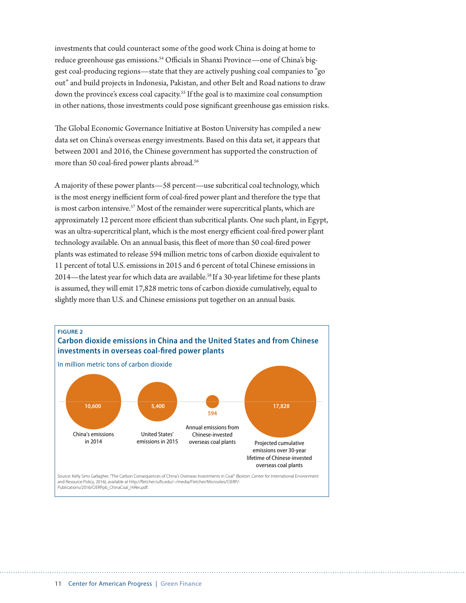investments that could counteract some of the good work China is doing at home to reduce greenhouse gas emissions.<sup>54</sup> Officials in Shanxi Province—one of China's biggest coal-producing regions—state that they are actively pushing coal companies to "go out" and build projects in Indonesia, Pakistan, and other Belt and Road nations to draw down the province's excess coal capacity.55 If the goal is to maximize coal consumption in other nations, those investments could pose significant greenhouse gas emission risks.

The Global Economic Governance Initiative at Boston University has compiled a new data set on China's overseas energy investments. Based on this data set, it appears that between 2001 and 2016, the Chinese government has supported the construction of more than 50 coal-fired power plants abroad.<sup>56</sup>

A majority of these power plants—58 percent—use subcritical coal technology, which is the most energy inefficient form of coal-fired power plant and therefore the type that is most carbon intensive.<sup>57</sup> Most of the remainder were supercritical plants, which are approximately 12 percent more efficient than subcritical plants. One such plant, in Egypt, was an ultra-supercritical plant, which is the most energy efficient coal-fired power plant technology available. On an annual basis, this fleet of more than 50 coal-fired power plants was estimated to release 594 million metric tons of carbon dioxide, equivalent to 11 percent of total U.S. emissions in 2015 and 6 percent of total Chinese emissions in 2014—the latest year for which data are available.<sup>58</sup> If a 30-year lifetime for these plants is assumed, they will emit 17,828 metric tons of carbon dioxide cumulatively, equal to slightly more than U.S. and Chinese emissions put together on an annual basis.

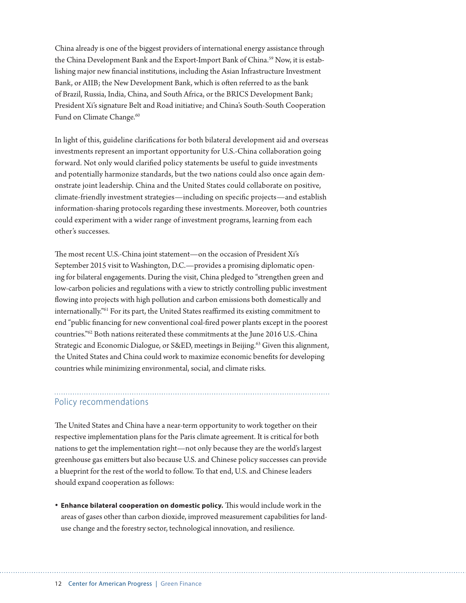China already is one of the biggest providers of international energy assistance through the China Development Bank and the Export-Import Bank of China.<sup>59</sup> Now, it is establishing major new financial institutions, including the Asian Infrastructure Investment Bank, or AIIB; the New Development Bank, which is often referred to as the bank of Brazil, Russia, India, China, and South Africa, or the BRICS Development Bank; President Xi's signature Belt and Road initiative; and China's South-South Cooperation Fund on Climate Change.<sup>60</sup>

In light of this, guideline clarifications for both bilateral development aid and overseas investments represent an important opportunity for U.S.-China collaboration going forward. Not only would clarified policy statements be useful to guide investments and potentially harmonize standards, but the two nations could also once again demonstrate joint leadership. China and the United States could collaborate on positive, climate-friendly investment strategies—including on specific projects—and establish information-sharing protocols regarding these investments. Moreover, both countries could experiment with a wider range of investment programs, learning from each other's successes.

The most recent U.S.-China joint statement—on the occasion of President Xi's September 2015 visit to Washington, D.C.—provides a promising diplomatic opening for bilateral engagements. During the visit, China pledged to "strengthen green and low-carbon policies and regulations with a view to strictly controlling public investment flowing into projects with high pollution and carbon emissions both domestically and internationally."61 For its part, the United States reaffirmed its existing commitment to end "public financing for new conventional coal-fired power plants except in the poorest countries."62 Both nations reiterated these commitments at the June 2016 U.S.-China Strategic and Economic Dialogue, or S&ED, meetings in Beijing.<sup>63</sup> Given this alignment, the United States and China could work to maximize economic benefits for developing countries while minimizing environmental, social, and climate risks.

## Policy recommendations

The United States and China have a near-term opportunity to work together on their respective implementation plans for the Paris climate agreement. It is critical for both nations to get the implementation right—not only because they are the world's largest greenhouse gas emitters but also because U.S. and Chinese policy successes can provide a blueprint for the rest of the world to follow. To that end, U.S. and Chinese leaders should expand cooperation as follows:

**• Enhance bilateral cooperation on domestic policy.** This would include work in the areas of gases other than carbon dioxide, improved measurement capabilities for landuse change and the forestry sector, technological innovation, and resilience.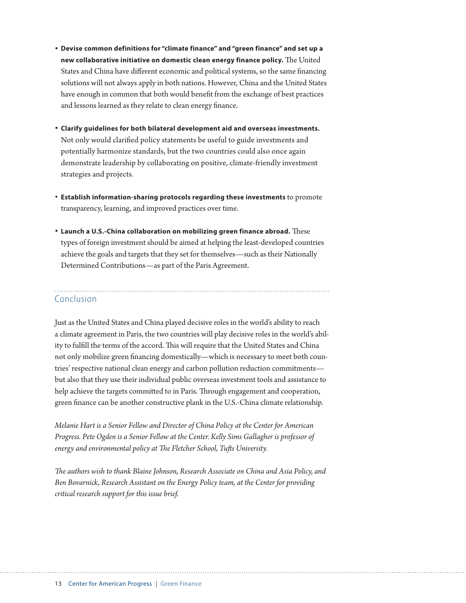- **• Devise common definitions for "climate finance" and "green finance" and set up a new collaborative initiative on domestic clean energy finance policy.** The United States and China have different economic and political systems, so the same financing solutions will not always apply in both nations. However, China and the United States have enough in common that both would benefit from the exchange of best practices and lessons learned as they relate to clean energy finance.
- **• Clarify guidelines for both bilateral development aid and overseas investments.**  Not only would clarified policy statements be useful to guide investments and potentially harmonize standards, but the two countries could also once again demonstrate leadership by collaborating on positive, climate-friendly investment strategies and projects.
- **Establish information-sharing protocols regarding these investments** to promote transparency, learning, and improved practices over time.
- **• Launch a U.S.-China collaboration on mobilizing green finance abroad.** These types of foreign investment should be aimed at helping the least-developed countries achieve the goals and targets that they set for themselves—such as their Nationally Determined Contributions—as part of the Paris Agreement.

### Conclusion

Just as the United States and China played decisive roles in the world's ability to reach a climate agreement in Paris, the two countries will play decisive roles in the world's ability to fulfill the terms of the accord. This will require that the United States and China not only mobilize green financing domestically—which is necessary to meet both countries' respective national clean energy and carbon pollution reduction commitments but also that they use their individual public overseas investment tools and assistance to help achieve the targets committed to in Paris. Through engagement and cooperation, green finance can be another constructive plank in the U.S.-China climate relationship.

*Melanie Hart is a Senior Fellow and Director of China Policy at the Center for American Progress. Pete Ogden is a Senior Fellow at the Center. Kelly Sims Gallagher is professor of energy and environmental policy at The Fletcher School, Tufts University.* 

*The authors wish to thank Blaine Johnson, Research Associate on China and Asia Policy, and Ben Bovarnick, Research Assistant on the Energy Policy team, at the Center for providing critical research support for this issue brief.*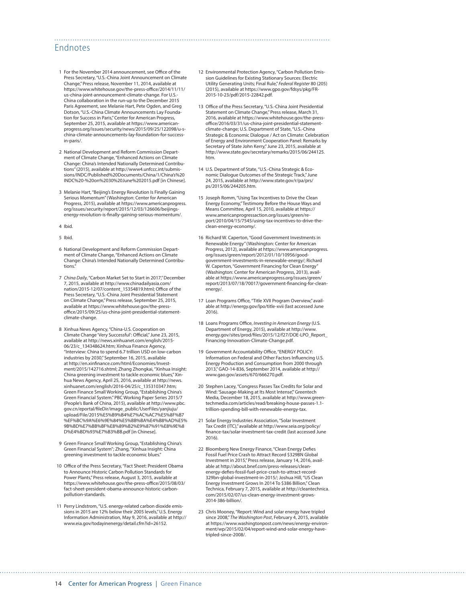### Endnotes

- 1 For the November 2014 announcement, see Office of the Press Secretary, "U.S.-China Joint Announcement on Climate Change," Press release, November 11, 2014, available at [https://www.whitehouse.gov/the-press-office/2014/11/11/](https://www.whitehouse.gov/the-press-office/2014/11/11/us-china-joint-announcement-climate-change) [us-china-joint-announcement-climate-change](https://www.whitehouse.gov/the-press-office/2014/11/11/us-china-joint-announcement-climate-change). For U.S.- China collaboration in the run-up to the December 2015 Paris Agreement, see Melanie Hart, Pete Ogden, and Greg Dotson, "U.S.-China Climate Announcements Lay Foundation for Success in Paris," Center for American Progress, September 25, 2015, available at [https://www.american](https://www.americanprogress.org/issues/security/news/2015/09/25/122098/u-s-china-climate-announcements-lay-foundation-for-success-in-paris/)[progress.org/issues/security/news/2015/09/25/122098/u-s](https://www.americanprogress.org/issues/security/news/2015/09/25/122098/u-s-china-climate-announcements-lay-foundation-for-success-in-paris/)[china-climate-announcements-lay-foundation-for-success](https://www.americanprogress.org/issues/security/news/2015/09/25/122098/u-s-china-climate-announcements-lay-foundation-for-success-in-paris/)[in-paris/](https://www.americanprogress.org/issues/security/news/2015/09/25/122098/u-s-china-climate-announcements-lay-foundation-for-success-in-paris/).
- 2 National Development and Reform Commission Department of Climate Change, "Enhanced Actions on Climate Change: China's Intended Nationally Determined Contributions" (2015), available at [http://www4.unfccc.int/submis](http://www4.unfccc.int/submissions/INDC/Published%20Documents/China/1/China)[sions/INDC/Published%20Documents/China/1/China's%20](http://www4.unfccc.int/submissions/INDC/Published%20Documents/China/1/China) [INDC%20-%20on%2030%20June%202015.pdf](http://www4.unfccc.int/submissions/INDC/Published%20Documents/China/1/China) [in Chinese].
- 3 Melanie Hart, "Beijing's Energy Revolution Is Finally Gaining Serious Momentum" (Washington: Center for American Progress, 2015), available at [https://www.americanprogress.](https://www.americanprogress.org/issues/security/report/2015/12/03/126606/beijings-energy-revolution-is-finally-gaining-serious-momentum/) [org/issues/security/report/2015/12/03/126606/beijings](https://www.americanprogress.org/issues/security/report/2015/12/03/126606/beijings-energy-revolution-is-finally-gaining-serious-momentum/)[energy-revolution-is-finally-gaining-serious-momentum/.](https://www.americanprogress.org/issues/security/report/2015/12/03/126606/beijings-energy-revolution-is-finally-gaining-serious-momentum/)
- 4 Ibid.
- 5 Ibid.
- 6 National Development and Reform Commission Department of Climate Change, "Enhanced Actions on Climate Change: China's Intended Nationally Determined Contributions."
- 7 *China Daily*, "Carbon Market Set to Start in 2017," December 7, 2015, available at [http://www.chinadailyasia.com/](http://www.chinadailyasia.com/nation/2015-12/07/content_15354819.html) [nation/2015-12/07/content\\_15354819.html](http://www.chinadailyasia.com/nation/2015-12/07/content_15354819.html); Office of the Press Secretary, "U.S.-China Joint Presidential Statement on Climate Change," Press release, September 25, 2015, available at [https://www.whitehouse.gov/the-press](https://www.whitehouse.gov/the-press-office/2015/09/25/us-china-joint-presidential-statement-climate-change)[office/2015/09/25/us-china-joint-presidential-statement](https://www.whitehouse.gov/the-press-office/2015/09/25/us-china-joint-presidential-statement-climate-change)[climate-change](https://www.whitehouse.gov/the-press-office/2015/09/25/us-china-joint-presidential-statement-climate-change).
- 8 Xinhua News Agency, "China-U.S. Cooperation on Climate Change 'Very Successful': Official," June 23, 2015, available at [http://news.xinhuanet.com/english/2015-](http://news.xinhuanet.com/english/2015-06/23/c_134348624.htm) [06/23/c\\_134348624.htm](http://news.xinhuanet.com/english/2015-06/23/c_134348624.htm); Xinhua Finance Agency, "Interview: China to spend 6.7 trillion USD on low-carbon industries by 2030," September 16, 2015, available at [http://en.xinfinance.com/html/Economies/Invest](http://en.xinfinance.com/html/Economies/Investment/2015/142716.shtml)[ment/2015/142716.shtml;](http://en.xinfinance.com/html/Economies/Investment/2015/142716.shtml) Zhang Zhongkai, "Xinhua Insight: China greening investment to tackle economic blues," Xinhua News Agency, April 25, 2016, available at [http://news.](http://news.xinhuanet.com/english/2016-04/25/c_135310347.htm) [xinhuanet.com/english/2016-04/25/c\\_135310347.htm;](http://news.xinhuanet.com/english/2016-04/25/c_135310347.htm) Green Finance Small Working Group, "Establishing China's Green Financial System." PBC Working Paper Series 2015/7 (People's Bank of China, 2015), available at [http://www.pbc.](http://www.pbc.gov.cn/eportal/fileDir/image_public/UserFiles/yanjiuju/upload/File/2015%E5%B9%B4%E7%AC%AC7%E5%8F%B7%EF%BC%9A%E6%9E%84%E5%BB%BA%E4%B8%AD%E5%9B%BD%E7%BB%BF%E8%89%B2%E9%87%91%E8%9E%8D%E4%BD%93%E7%B3%BB.pdf) [gov.cn/eportal/fileDir/image\\_public/UserFiles/yanjiuju/](http://www.pbc.gov.cn/eportal/fileDir/image_public/UserFiles/yanjiuju/upload/File/2015%E5%B9%B4%E7%AC%AC7%E5%8F%B7%EF%BC%9A%E6%9E%84%E5%BB%BA%E4%B8%AD%E5%9B%BD%E7%BB%BF%E8%89%B2%E9%87%91%E8%9E%8D%E4%BD%93%E7%B3%BB.pdf) [upload/File/2015%E5%B9%B4%E7%AC%AC7%E5%8F%B7](http://www.pbc.gov.cn/eportal/fileDir/image_public/UserFiles/yanjiuju/upload/File/2015%E5%B9%B4%E7%AC%AC7%E5%8F%B7%EF%BC%9A%E6%9E%84%E5%BB%BA%E4%B8%AD%E5%9B%BD%E7%BB%BF%E8%89%B2%E9%87%91%E8%9E%8D%E4%BD%93%E7%B3%BB.pdf) [%EF%BC%9A%E6%9E%84%E5%BB%BA%E4%B8%AD%E5%](http://www.pbc.gov.cn/eportal/fileDir/image_public/UserFiles/yanjiuju/upload/File/2015%E5%B9%B4%E7%AC%AC7%E5%8F%B7%EF%BC%9A%E6%9E%84%E5%BB%BA%E4%B8%AD%E5%9B%BD%E7%BB%BF%E8%89%B2%E9%87%91%E8%9E%8D%E4%BD%93%E7%B3%BB.pdf) [9B%BD%E7%BB%BF%E8%89%B2%E9%87%91%E8%9E%8](http://www.pbc.gov.cn/eportal/fileDir/image_public/UserFiles/yanjiuju/upload/File/2015%E5%B9%B4%E7%AC%AC7%E5%8F%B7%EF%BC%9A%E6%9E%84%E5%BB%BA%E4%B8%AD%E5%9B%BD%E7%BB%BF%E8%89%B2%E9%87%91%E8%9E%8D%E4%BD%93%E7%B3%BB.pdf) [D%E4%BD%93%E7%B3%BB.pdf](http://www.pbc.gov.cn/eportal/fileDir/image_public/UserFiles/yanjiuju/upload/File/2015%E5%B9%B4%E7%AC%AC7%E5%8F%B7%EF%BC%9A%E6%9E%84%E5%BB%BA%E4%B8%AD%E5%9B%BD%E7%BB%BF%E8%89%B2%E9%87%91%E8%9E%8D%E4%BD%93%E7%B3%BB.pdf) [in Chinese].
- 9 Green Finance Small Working Group, "Establishing China's Green Financial System"; Zhang, "Xinhua Insight: China greening investment to tackle economic blues."
- 10 Office of the Press Secretary, "Fact Sheet: President Obama to Announce Historic Carbon Pollution Standards for Power Plants," Press release, August 3, 2015, available at [https://www.whitehouse.gov/the-press-office/2015/08/03/](https://www.whitehouse.gov/the-press-office/2015/08/03/fact-sheet-president-obama-announce-historic-carbon-pollution-standards) [fact-sheet-president-obama-announce-historic-carbon](https://www.whitehouse.gov/the-press-office/2015/08/03/fact-sheet-president-obama-announce-historic-carbon-pollution-standards)[pollution-standards](https://www.whitehouse.gov/the-press-office/2015/08/03/fact-sheet-president-obama-announce-historic-carbon-pollution-standards).
- 11 Perry Lindstrom, "U.S. energy-related carbon dioxide emissions in 2015 are 12% below their 2005 levels," U.S. Energy Information Administration, May 9, 2016, available at [http://](http://www.eia.gov/todayinenergy/detail.cfm?id=26152) [www.eia.gov/todayinenergy/detail.cfm?id=26152](http://www.eia.gov/todayinenergy/detail.cfm?id=26152).

12 Environmental Protection Agency, "Carbon Pollution Emission Guidelines for Existing Stationary Sources: Electric Utility Generating Units; Final Rule," *Federal Register* 80 (205) (2015), available at [https://www.gpo.gov/fdsys/pkg/FR-](https://www.gpo.gov/fdsys/pkg/FR-2015-10-23/pdf/2015-22842.pdf)[2015-10-23/pdf/2015-22842.pdf](https://www.gpo.gov/fdsys/pkg/FR-2015-10-23/pdf/2015-22842.pdf).

- 13 Office of the Press Secretary, "U.S.-China Joint Presidential Statement on Climate Change," Press release, March 31, 2016, available at [https://www.whitehouse.gov/the-press](https://www.whitehouse.gov/the-press-office/2016/03/31/us-china-joint-presidential-statement-climate-change)[office/2016/03/31/us-china-joint-presidential-statement](https://www.whitehouse.gov/the-press-office/2016/03/31/us-china-joint-presidential-statement-climate-change)[climate-change;](https://www.whitehouse.gov/the-press-office/2016/03/31/us-china-joint-presidential-statement-climate-change) U.S. Department of State, "U.S.-China Strategic & Economic Dialogue / Act on Climate: Celebration of Energy and Environment Cooperation Panel: Remarks by Secretary of State John Kerry," June 23, 2015, available at [http://www.state.gov/secretary/remarks/2015/06/244125.](http://www.state.gov/secretary/remarks/2015/06/244125.htm) [htm](http://www.state.gov/secretary/remarks/2015/06/244125.htm).
- 14 U.S. Department of State, "U.S.-China Strategic & Economic Dialogue Outcomes of the Strategic Track," June 24, 2015, available at [http://www.state.gov/r/pa/prs/](http://www.state.gov/r/pa/prs/ps/2015/06/244205.htm) [ps/2015/06/244205.htm.](http://www.state.gov/r/pa/prs/ps/2015/06/244205.htm)
- 15 Joseph Romm, "Using Tax Incentives to Drive the Clean Energy Economy," Testimony Before the House Ways and Means Committee, April 15, 2010, available at [https://](https://www.americanprogressaction.org/issues/green/report/2010/04/15/7545/using-tax-incentives-to-drive-the-clean-energy-economy/) [www.americanprogressaction.org/issues/green/re](https://www.americanprogressaction.org/issues/green/report/2010/04/15/7545/using-tax-incentives-to-drive-the-clean-energy-economy/)[port/2010/04/15/7545/using-tax-incentives-to-drive-the](https://www.americanprogressaction.org/issues/green/report/2010/04/15/7545/using-tax-incentives-to-drive-the-clean-energy-economy/)[clean-energy-economy/](https://www.americanprogressaction.org/issues/green/report/2010/04/15/7545/using-tax-incentives-to-drive-the-clean-energy-economy/).
- 16 Richard W. Caperton, "Good Government Investments in Renewable Energy" (Washington: Center for American Progress, 2012), available at [https://www.americanprogress.](https://www.americanprogress.org/issues/green/report/2012/01/10/10956/good-government-investments-in-renewable-energy/) [org/issues/green/report/2012/01/10/10956/good](https://www.americanprogress.org/issues/green/report/2012/01/10/10956/good-government-investments-in-renewable-energy/)[government-investments-in-renewable-energy/](https://www.americanprogress.org/issues/green/report/2012/01/10/10956/good-government-investments-in-renewable-energy/); Richard W. Caperton, "Government Financing for Clean Energy" (Washington: Center for American Progress, 2013), available at [https://www.americanprogress.org/issues/green/](https://www.americanprogress.org/issues/green/report/2013/07/18/70017/government-financing-for-clean-energy/) [report/2013/07/18/70017/government-financing-for-clean](https://www.americanprogress.org/issues/green/report/2013/07/18/70017/government-financing-for-clean-energy/)[energy/](https://www.americanprogress.org/issues/green/report/2013/07/18/70017/government-financing-for-clean-energy/).
- 17 Loan Programs Office, "Title XVII Program Overview," available at <http://energy.gov/lpo/title-xvii>(last accessed June 2016).
- 18 Loans Programs Office, *Investing in American Energy* (U.S. Department of Energy, 2015), available at [http://www.](http://www.energy.gov/sites/prod/files/2015/12/f27/DOE-LPO_Report_Financing-Innovation-Climate-Change.pdf) [energy.gov/sites/prod/files/2015/12/f27/DOE-LPO\\_Report\\_](http://www.energy.gov/sites/prod/files/2015/12/f27/DOE-LPO_Report_Financing-Innovation-Climate-Change.pdf) [Financing-Innovation-Climate-Change.pdf.](http://www.energy.gov/sites/prod/files/2015/12/f27/DOE-LPO_Report_Financing-Innovation-Climate-Change.pdf)
- 19 Government Accountability Office, "ENERGY POLICY: Information on Federal and Other Factors Influencing U.S. Energy Production and Consumption from 2000 through 2013," GAO-14-836, September 2014, available at [http://](http://www.gao.gov/assets/670/666270.pdf) [www.gao.gov/assets/670/666270.pdf](http://www.gao.gov/assets/670/666270.pdf).
- 20 Stephen Lacey, "Congress Passes Tax Credits for Solar and Wind: 'Sausage-Making at Its Most Intense'," Greentech Media, December 18, 2015, available at [http://www.green](http://www.greentechmedia.com/articles/read/breaking-house-passes-1.1-trillion-spending-bill-with-renewable-energy-tax)[techmedia.com/articles/read/breaking-house-passes-1.1](http://www.greentechmedia.com/articles/read/breaking-house-passes-1.1-trillion-spending-bill-with-renewable-energy-tax) [trillion-spending-bill-with-renewable-energy-tax.](http://www.greentechmedia.com/articles/read/breaking-house-passes-1.1-trillion-spending-bill-with-renewable-energy-tax)
- 21 Solar Energy Industries Association, "Solar Investment Tax Credit (ITC)," available at [http://www.seia.org/policy/](http://www.seia.org/policy/finance-tax/solar-investment-tax-credit) [finance-tax/solar-investment-tax-credit](http://www.seia.org/policy/finance-tax/solar-investment-tax-credit) (last accessed June 2016).
- 22 Bloomberg New Energy Finance, "Clean Energy Defies Fossil Fuel Price Crash to Attract Record \$329BN Global Investment in 2015," Press release, January 14, 2016, available at [http://about.bnef.com/press-releases/clean](http://about.bnef.com/press-releases/clean-energy-defies-fossil-fuel-price-crash-to-attract-record-329bn-global-investment-in-2015/)[energy-defies-fossil-fuel-price-crash-to-attract-record-](http://about.bnef.com/press-releases/clean-energy-defies-fossil-fuel-price-crash-to-attract-record-329bn-global-investment-in-2015/)[329bn-global-investment-in-2015/](http://about.bnef.com/press-releases/clean-energy-defies-fossil-fuel-price-crash-to-attract-record-329bn-global-investment-in-2015/); Joshua Hill, "US Clean Energy Investment Grows In 2014 To \$386 Billion," Clean Technica, February 7, 2015, available at [http://cleantechnica.](http://cleantechnica.com/2015/02/07/us-clean-energy-investment-grows-2014-386-billion/) [com/2015/02/07/us-clean-energy-investment-grows-](http://cleantechnica.com/2015/02/07/us-clean-energy-investment-grows-2014-386-billion/)[2014-386-billion/.](http://cleantechnica.com/2015/02/07/us-clean-energy-investment-grows-2014-386-billion/)
- 23 Chris Mooney, "Report: Wind and solar energy have tripled since 2008," *The Washington Post*, February 4, 2015, available at [https://www.washingtonpost.com/news/energy-environ](https://www.washingtonpost.com/news/energy-environment/wp/2015/02/04/report-wind-and-solar-energy-have-tripled-since-2008/)[ment/wp/2015/02/04/report-wind-and-solar-energy-have](https://www.washingtonpost.com/news/energy-environment/wp/2015/02/04/report-wind-and-solar-energy-have-tripled-since-2008/)[tripled-since-2008/.](https://www.washingtonpost.com/news/energy-environment/wp/2015/02/04/report-wind-and-solar-energy-have-tripled-since-2008/)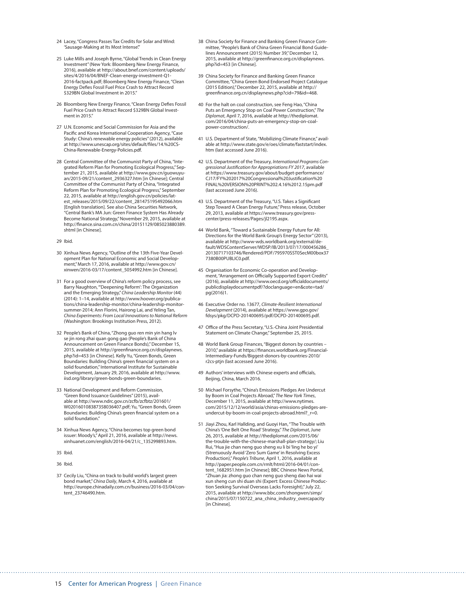- 24 Lacey, "Congress Passes Tax Credits for Solar and Wind: 'Sausage-Making at Its Most Intense".
- 25 Luke Mills and Joseph Byrne, "Global Trends in Clean Energy Investment" (New York: Bloomberg New Energy Finance, 2016), available at [http://about.bnef.com/content/uploads/](http://about.bnef.com/content/uploads/sites/4/2016/04/BNEF-Clean-energy-investment-Q1-2016-factpack.pdf) [sites/4/2016/04/BNEF-Clean-energy-investment-Q1-](http://about.bnef.com/content/uploads/sites/4/2016/04/BNEF-Clean-energy-investment-Q1-2016-factpack.pdf) [2016-factpack.pdf](http://about.bnef.com/content/uploads/sites/4/2016/04/BNEF-Clean-energy-investment-Q1-2016-factpack.pdf); Bloomberg New Energy Finance, "Clean Energy Defies Fossil Fuel Price Crash to Attract Record \$329BN Global Investment in 2015."
- 26 Bloomberg New Energy Finance, "Clean Energy Defies Fossil Fuel Price Crash to Attract Record \$329BN Global Investment in 2015."
- 27 U.N. Economic and Social Commission for Asia and the Pacific and Korea International Cooperation Agency, "Case Study: China's renewable energy policies" (2012), available at [http://www.unescap.org/sites/default/files/14.%20CS-](http://www.unescap.org/sites/default/files/14.%20CS-China-Renewable-Energy-Policies.pdf)[China-Renewable-Energy-Policies.pdf](http://www.unescap.org/sites/default/files/14.%20CS-China-Renewable-Energy-Policies.pdf).
- 28 Central Committee of the Communist Party of China, "Integrated Reform Plan for Promoting Ecological Progress," September 21, 2015, available at [http://www.gov.cn/guowuyu](http://www.gov.cn/guowuyuan/2015-09/21/content_2936327.htm)[an/2015-09/21/content\\_2936327.htm](http://www.gov.cn/guowuyuan/2015-09/21/content_2936327.htm) [in Chinese]; Central Committee of the Communist Party of China, "Integrated Reform Plan for Promoting Ecological Progress," September 22, 2015, available at [http://english.gov.cn/policies/lat](http://english.gov.cn/policies/latest_releases/2015/09/22/content_281475195492066.htm)[est\\_releases/2015/09/22/content\\_281475195492066.htm](http://english.gov.cn/policies/latest_releases/2015/09/22/content_281475195492066.htm) [English translation]. See also China Securities Network, "Central Bank's MA Jun: Green Finance System Has Already Become National Strategy," November 29, 2015, available at [http://finance.sina.com.cn/china/20151129/085023880389.](http://finance.sina.com.cn/china/20151129/085023880389.shtml) [shtml](http://finance.sina.com.cn/china/20151129/085023880389.shtml) [in Chinese].

29 Ibid.

- 30 Xinhua News Agency, "Outline of the 13th Five-Year Development Plan for National Economic and Social Development," March 17, 2016, available at [http://www.gov.cn/](http://www.gov.cn/xinwen/2016-03/17/content_5054992.htm) [xinwen/2016-03/17/content\\_5054992.htm](http://www.gov.cn/xinwen/2016-03/17/content_5054992.htm) [in Chinese].
- 31 For a good overview of China's reform policy process, see Barry Naughton, "'Deepening Reform': The Organization and the Emerging Strategy," *China Leadership Monitor* (44) (2014): 1–14, available at [http://www.hoover.org/publica](http://www.hoover.org/publications/china-leadership-monitor/china-leadership-monitor-summer-2014)[tions/china-leadership-monitor/china-leadership-monitor](http://www.hoover.org/publications/china-leadership-monitor/china-leadership-monitor-summer-2014)[summer-2014;](http://www.hoover.org/publications/china-leadership-monitor/china-leadership-monitor-summer-2014) Ann Florini, Hairong Lai, and Yeling Tan, *China Experiments: From Local Innovations to National Reform* (Washington: Brookings Institution Press, 2012).
- 32 People's Bank of China, "Zhong guo ren min yin hang lv se jin rong zhai quan gong gao (People's Bank of China Announcement on Green Finance Bonds)," December 15, 2015, available at [http://greenfinance.org.cn/displaynews.](http://greenfinance.org.cn/displaynews.php?id=453) [php?id=453](http://greenfinance.org.cn/displaynews.php?id=453) [in Chinese]. Kelly Yu, "Green Bonds, Green Boundaries: Building China's green financial system on a solid foundation," International Institute for Sustainable Development, January 29, 2016, available at [http://www.](http://www.iisd.org/library/green-bonds-green-boundaries) [iisd.org/library/green-bonds-green-boundaries](http://www.iisd.org/library/green-bonds-green-boundaries).
- 33 National Development and Reform Commission, "Green Bond Issuance Guidelines" (2015), available at [http://www.ndrc.gov.cn/zcfb/zcfbtz/201601/](http://www.ndrc.gov.cn/zcfb/zcfbtz/201601/W020160108387358036407.pdf) [W020160108387358036407.pdf](http://www.ndrc.gov.cn/zcfb/zcfbtz/201601/W020160108387358036407.pdf); Yu, "Green Bonds, Green Boundaries: Building China's green financial system on a solid foundation."
- 34 Xinhua News Agency, "China becomes top green bond issuer: Moody's," April 21, 2016, available at [http://news.](http://news.xinhuanet.com/english/2016-04/21/c_135299893.htm) [xinhuanet.com/english/2016-04/21/c\\_135299893.htm.](http://news.xinhuanet.com/english/2016-04/21/c_135299893.htm)
- 35 Ibid.
- 36 Ibid.
- 37 Cecily Liu, "China on track to build world's largest green bond market," *China Daily*, March 4, 2016, available at [http://europe.chinadaily.com.cn/business/2016-03/04/con](http://europe.chinadaily.com.cn/business/2016-03/04/content_23746490.htm)tent\_23746490.htm
- 38 China Society for Finance and Banking Green Finance Committee, "People's Bank of China Green Financial Bond Guidelines Announcement (2015) Number 39" December 12, 2015, available at [http://greenfinance.org.cn/displaynews.](http://greenfinance.org.cn/displaynews.php?id=453) [php?id=453](http://greenfinance.org.cn/displaynews.php?id=453) [in Chinese].
- 39 China Society for Finance and Banking Green Finance Committee, "China Green Bond Endorsed Project Catalogue (2015 Edition)," December 22, 2015, available at [http://](http://greenfinance.org.cn/displaynews.php?cid=79&id=468) [greenfinance.org.cn/displaynews.php?cid=79&id=468](http://greenfinance.org.cn/displaynews.php?cid=79&id=468).
- 40 For the halt on coal construction, see Feng Hao, "China Puts an Emergency Stop on Coal Power Construction," *The Diplomat*, April 7, 2016, available at [http://thediplomat.](http://thediplomat.com/2016/04/china-puts-an-emergency-stop-on-coal-power-construction/) [com/2016/04/china-puts-an-emergency-stop-on-coal](http://thediplomat.com/2016/04/china-puts-an-emergency-stop-on-coal-power-construction/)[power-construction/](http://thediplomat.com/2016/04/china-puts-an-emergency-stop-on-coal-power-construction/).
- 41 U.S. Department of State, "Mobilizing Climate Finance," available at [http://www.state.gov/e/oes/climate/faststart/index.](http://www.state.gov/e/oes/climate/faststart/index.htm) [htm](http://www.state.gov/e/oes/climate/faststart/index.htm) (last accessed June 2016).
- 42 U.S. Department of the Treasury, *International Programs Congressional Justification for Appropriations FY 2017*, available at [https://www.treasury.gov/about/budget-performance/](https://www.treasury.gov/about/budget-performance/CJ17/FY%202017%20Congressional%20Justification%20FINAL%20VERSION%20PRINT%202.4.16%2012.15pm.pdf) [CJ17/FY%202017%20Congressional%20Justification%20](https://www.treasury.gov/about/budget-performance/CJ17/FY%202017%20Congressional%20Justification%20FINAL%20VERSION%20PRINT%202.4.16%2012.15pm.pdf) [FINAL%20VERSION%20PRINT%202.4.16%2012.15pm.pdf](https://www.treasury.gov/about/budget-performance/CJ17/FY%202017%20Congressional%20Justification%20FINAL%20VERSION%20PRINT%202.4.16%2012.15pm.pdf)  (last accessed June 2016).
- 43 U.S. Department of the Treasury, "U.S. Takes a Significant Step Toward A Clean Energy Future," Press release, October 29, 2013, available at [https://www.treasury.gov/press](https://www.treasury.gov/press-center/press-releases/Pages/jl2195.aspx)[center/press-releases/Pages/jl2195.aspx.](https://www.treasury.gov/press-center/press-releases/Pages/jl2195.aspx)
- 44 World Bank, "Toward a Sustainable Energy Future for All: Directions for the World Bank Group's Energy Sector" (2013), available at [http://www-wds.worldbank.org/external/de](http://www-wds.worldbank.org/external/default/WDSContentServer/WDSP/IB/2013/07/17/000456286_20130717103746/Rendered/PDF/795970SST0SecM00box377380B00PUBLIC0.pdf)[fault/WDSContentServer/WDSP/IB/2013/07/17/000456286\\_](http://www-wds.worldbank.org/external/default/WDSContentServer/WDSP/IB/2013/07/17/000456286_20130717103746/Rendered/PDF/795970SST0SecM00box377380B00PUBLIC0.pdf) [20130717103746/Rendered/PDF/795970SST0SecM00box37](http://www-wds.worldbank.org/external/default/WDSContentServer/WDSP/IB/2013/07/17/000456286_20130717103746/Rendered/PDF/795970SST0SecM00box377380B00PUBLIC0.pdf) [7380B00PUBLIC0.pdf](http://www-wds.worldbank.org/external/default/WDSContentServer/WDSP/IB/2013/07/17/000456286_20130717103746/Rendered/PDF/795970SST0SecM00box377380B00PUBLIC0.pdf).
- 45 Organisation for Economic Co-operation and Development, "Arrangement on Officially Supported Export Credits" (2016), available at [http://www.oecd.org/officialdocuments/](http://www.oecd.org/officialdocuments/publicdisplaydocumentpdf/?doclanguage=en&cote=tad/pg(2016)1) [publicdisplaydocumentpdf/?doclanguage=en&cote=tad/](http://www.oecd.org/officialdocuments/publicdisplaydocumentpdf/?doclanguage=en&cote=tad/pg(2016)1) [pg\(2016\)1.](http://www.oecd.org/officialdocuments/publicdisplaydocumentpdf/?doclanguage=en&cote=tad/pg(2016)1)
- 46 Executive Order no. 13677, *Climate-Resilient International Development* (2014), available at [https://www.gpo.gov/](https://www.gpo.gov/fdsys/pkg/DCPD-201400695/pdf/DCPD-201400695.pdf) [fdsys/pkg/DCPD-201400695/pdf/DCPD-201400695.pdf.](https://www.gpo.gov/fdsys/pkg/DCPD-201400695/pdf/DCPD-201400695.pdf)
- 47 Office of the Press Secretary, "U.S.-China Joint Presidential Statement on Climate Change," September 25, 2015.
- 48 World Bank Group Finances, "Biggest donors by countries 2010," available at [https://finances.worldbank.org/Financial-](https://finances.worldbank.org/Financial-Intermediary-Funds/Biggest-donors-by-countries-2010/r2cs-ptjn)[Intermediary-Funds/Biggest-donors-by-countries-2010/](https://finances.worldbank.org/Financial-Intermediary-Funds/Biggest-donors-by-countries-2010/r2cs-ptjn) [r2cs-ptjn](https://finances.worldbank.org/Financial-Intermediary-Funds/Biggest-donors-by-countries-2010/r2cs-ptjn) (last accessed June 2016).
- 49 Authors' interviews with Chinese experts and officials, Beijing, China, March 2016.
- 50 Michael Forsythe, "China's Emissions Pledges Are Undercut by Boom in Coal Projects Abroad," *The New York Times*, December 11, 2015, available at [http://www.nytimes.](http://www.nytimes.com/2015/12/12/world/asia/chinas-emissions-pledges-are-undercut-by-boom-in-coal-projects-abroad.html?_r=0) [com/2015/12/12/world/asia/chinas-emissions-pledges-are](http://www.nytimes.com/2015/12/12/world/asia/chinas-emissions-pledges-are-undercut-by-boom-in-coal-projects-abroad.html?_r=0)[undercut-by-boom-in-coal-projects-abroad.html?\\_r=0.](http://www.nytimes.com/2015/12/12/world/asia/chinas-emissions-pledges-are-undercut-by-boom-in-coal-projects-abroad.html?_r=0)
- 51 Jiayi Zhou, Karl Hallding, and Guoyi Han, "The Trouble with China's 'One Belt One Road' Strategy," *The Diplomat*,June 26, 2015, available at [http://thediplomat.com/2015/06/](http://thediplomat.com/2015/06/the-trouble-with-the-chinese-marshall-plan-strategy/) [the-trouble-with-the-chinese-marshall-plan-strategy/](http://thediplomat.com/2015/06/the-trouble-with-the-chinese-marshall-plan-strategy/); Liu Rui, "Hua jie chan neng guo sheng xu li bi 'ling he bo yi' (Strenuously Avoid 'Zero Sum Game' in Resolving Excess Production)," *People's Tribune*, April 1, 2016, available at [http://paper.people.com.cn/rmlt/html/2016-04/01/con](http://paper.people.com.cn/rmlt/html/2016-04/01/content_1682951.htm)[tent\\_1682951.htm](http://paper.people.com.cn/rmlt/html/2016-04/01/content_1682951.htm) [in Chinese]; BBC Chinese News Portal, "Zhuan jia: zhong guo chan neng guo sheng dao hai wai xun sheng cun shi duan shi (Expert: Excess Chinese Production Seeking Survival Overseas Lacks Foresight)," July 22, 2015, available at [http://www.bbc.com/zhongwen/simp/](http://www.bbc.com/zhongwen/simp/china/2015/07/150722_ana_china_industry_overcapacity) [china/2015/07/150722\\_ana\\_china\\_industry\\_overcapacity](http://www.bbc.com/zhongwen/simp/china/2015/07/150722_ana_china_industry_overcapacity) [in Chinese].